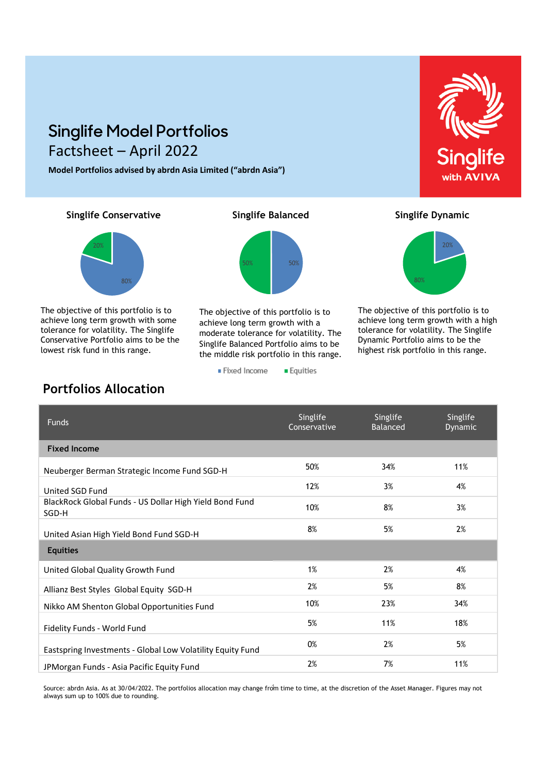## **Singlife Model Portfolios** Factsheet – April 2022

**Model Portfolios advised by abrdn Asia Limited ("abrdn Asia")**

**Singlife Conservative Singlife Balanced** Singlife Dynamic



lowest risk fund in this range. The objective of this portfolio is to achieve long term growth with some tolerance for volatility. The Singlife Conservative Portfolio aims to be the



The objective of this portfolio is to achieve long term growth with a moderate tolerance for volatility. The Singlife Balanced Portfolio aims to be the middle risk portfolio in this range.

**Equities** 

■ Fixed Income



The objective of this portfolio is to achieve long term growth with a high tolerance for volatility. The Singlife Dynamic Portfolio aims to be the highest risk portfolio in this range.

## Funds Singlife Conservative Singlife Balanced Singlife Dynamic **Fixed Income**  Neuberger Berman Strategic Income Fund SGD-H 50% 50% 34% 34% 11% United SGD Fund and the set of the set of the set of the set of the set of the set of the set of the set of the set of the set of the set of the set of the set of the set of the set of the set of the set of the set of the BlackRock Global Funds ‐ US Dollar High Yield Bond Fund SGD‐<sup>H</sup> 10% 8% 3% United Asian High Yield Bond Fund SGD-H 8% 5% 5% 5% 5% 2% **Equities** United Global Quality Growth Fund 1% 1% 2% 2% 2% 4% Allianz Best Styles Global Equity SGD-H 2% 2% 5% 5% 5% 8% Nikko AM Shenton Global Opportunities Fund 10% 10% 23% 23% Fidelity Funds - World Fund 50 18% 18% 18% 12% 12% 12% 12% 12% 12% 12% 13% Eastspring Investments - Global Low Volatility Equity Fund 60% 60% 62% 65% 5% 5% JPMorgan Funds - Asia Pacific Equity Fund 2% 12% 11% 11%

Source: abrdn Asia. As at 30/04/2022. The portfolios allocation may change from time to time, at the discretion of the Asset Manager. Figures may not 1 always sum up to 100% due to rounding.

### **Portfolios Allocation**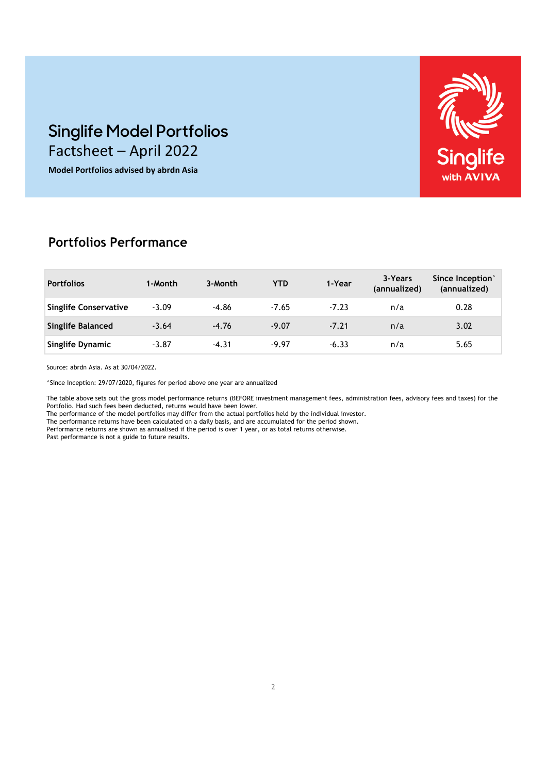# Singlife with **AVIVA**

# **Singlife Model Portfolios** Factsheet – April 2022

**Model Portfolios advised by abrdn Asia**

## **Portfolios Performance**

| <b>Portfolios</b>            | 1-Month | 3-Month | <b>YTD</b> | 1-Year  | 3-Years<br>(annualized) | Since Inception <sup>^</sup><br>(annualized) |
|------------------------------|---------|---------|------------|---------|-------------------------|----------------------------------------------|
| <b>Singlife Conservative</b> | $-3.09$ | $-4.86$ | $-7.65$    | $-7.23$ | n/a                     | 0.28                                         |
| <b>Singlife Balanced</b>     | $-3.64$ | $-4.76$ | $-9.07$    | $-7.21$ | n/a                     | 3.02                                         |
| <b>Singlife Dynamic</b>      | $-3.87$ | $-4.31$ | $-9.97$    | $-6.33$ | n/a                     | 5.65                                         |

Source: abrdn Asia. As at 30/04/2022.

^Since Inception: 29/07/2020, figures for period above one year are annualized

The table above sets out the gross model performance returns (BEFORE investment management fees, administration fees, advisory fees and taxes) for the Portfolio. Had such fees been deducted, returns would have been lower.

The performance of the model portfolios may differ from the actual portfolios held by the individual investor.

The performance returns have been calculated on a daily basis, and are accumulated for the period shown. Performance returns are shown as annualised if the period is over 1 year, or as total returns otherwise.

Past performance is not a guide to future results.